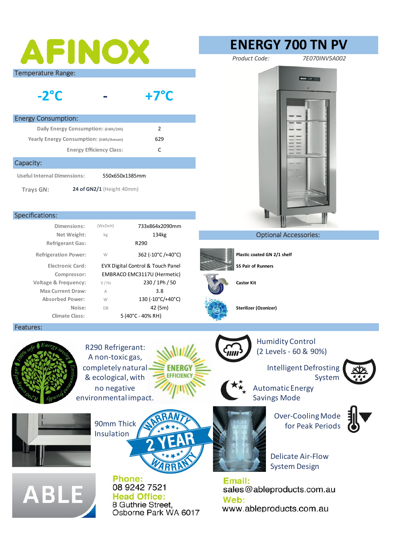| AFINOX                                                                                                                                                 | <b>ENERGY 700 TN PV</b>                                                                                                                       |
|--------------------------------------------------------------------------------------------------------------------------------------------------------|-----------------------------------------------------------------------------------------------------------------------------------------------|
|                                                                                                                                                        | Product Code:<br>7E070INV5A002                                                                                                                |
| <b>Temperature Range:</b><br>$-2$ °C<br>$+7^{\circ}$ C                                                                                                 | <b>MOORE FIRE 2</b>                                                                                                                           |
| <b>Energy Consumption:</b>                                                                                                                             |                                                                                                                                               |
| $\overline{2}$<br>Daily Energy Consumption: (kWh/24h)                                                                                                  |                                                                                                                                               |
| Yearly Energy Consumption: (kWh/Annum)<br>629                                                                                                          |                                                                                                                                               |
| C<br><b>Energy Efficiency Class:</b>                                                                                                                   |                                                                                                                                               |
| Capacity:                                                                                                                                              |                                                                                                                                               |
| <b>Useful Internal Dimensions:</b><br>550x650x1385mm                                                                                                   |                                                                                                                                               |
| 24 of GN2/1 (Height 40mm)<br>Trays GN:                                                                                                                 |                                                                                                                                               |
| <b>Specifications:</b>                                                                                                                                 |                                                                                                                                               |
| Dimensions:<br>$(W \times D \times H)$<br>733x864x2090mm                                                                                               |                                                                                                                                               |
| Net Weight:<br>134kg<br>kg                                                                                                                             | <b>Optional Accessories:</b>                                                                                                                  |
| <b>Refrigerant Gas:</b><br>R290                                                                                                                        |                                                                                                                                               |
| 362 (-10°C/+40°C)<br><b>Refrigeration Power:</b><br>W                                                                                                  | Plastic coated GN 2/1 shelf                                                                                                                   |
| <b>Electronic Card:</b><br>EVX Digital Control & Touch Panel                                                                                           | <b>SS Pair of Runners</b>                                                                                                                     |
| Compressor:<br>EMBRACO EMC3117U (Hermetic)<br>230 / 1Ph / 50<br><b>Voltage &amp; Frequency:</b><br>V / Hz                                              | <b>Castor Kit</b>                                                                                                                             |
| 3.8<br><b>Max Current Draw:</b><br>$\wedge$                                                                                                            |                                                                                                                                               |
| 130 (-10°C/+40°C)<br><b>Absorbed Power:</b><br>W                                                                                                       |                                                                                                                                               |
| Noise:<br>42 (5m)<br>DB<br><b>Climate Class:</b><br>5 (40°C - 40% RH)                                                                                  | Sterilizer (Ozonizer)                                                                                                                         |
| Features:                                                                                                                                              |                                                                                                                                               |
| R290 Refrigerant:<br>A non-toxic gas,<br>completely natural<br>ENERG<br><b>EFFICIENC</b><br>& ecological, with<br>no negative<br>environmental impact. | <b>Humidity Control</b><br>(2 Levels - 60 & 90%)<br><b>Intelligent Defrosting</b><br>System<br><b>Automatic Energy</b><br><b>Savings Mode</b> |
| 90mm Thick<br>Insulation                                                                                                                               | <b>Over-Cooling Mode</b><br>for Peak Periods<br><b>Delicate Air-Flow</b><br><b>System Design</b>                                              |
| Phone:<br>08 9242 7521<br><b>ABLE</b><br><b>Head Office:</b><br>8 Guthrie Street,<br>Osborne Park WA 6017                                              | Email:<br>sales@ableproducts.com.au<br>Web:<br>www.ableproducts.com.au                                                                        |